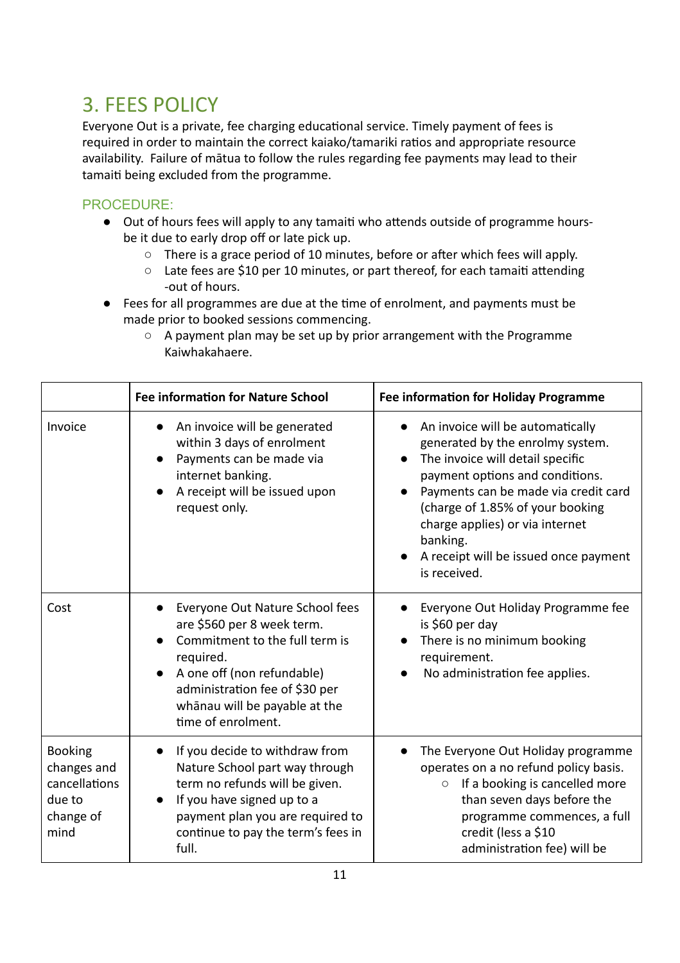## 3. FEES POLICY

Everyone Out is a private, fee charging educational service. Timely payment of fees is required in order to maintain the correct kaiako/tamariki ratios and appropriate resource availability. Failure of mātua to follow the rules regarding fee payments may lead to their tamaiti being excluded from the programme.

## PROCEDURE:

- Out of hours fees will apply to any tamaiti who attends outside of programme hoursbe it due to early drop off or late pick up.
	- $\circ$  There is a grace period of 10 minutes, before or after which fees will apply.
	- $\circ$  Late fees are \$10 per 10 minutes, or part thereof, for each tamaiti attending -out of hours.
- Fees for all programmes are due at the time of enrolment, and payments must be made prior to booked sessions commencing.
	- A payment plan may be set up by prior arrangement with the Programme Kaiwhakahaere.

|                                                                               | <b>Fee information for Nature School</b>                                                                                                                                                                                            | <b>Fee information for Holiday Programme</b>                                                                                                                                                                                                                                                                                                 |
|-------------------------------------------------------------------------------|-------------------------------------------------------------------------------------------------------------------------------------------------------------------------------------------------------------------------------------|----------------------------------------------------------------------------------------------------------------------------------------------------------------------------------------------------------------------------------------------------------------------------------------------------------------------------------------------|
| Invoice                                                                       | An invoice will be generated<br>within 3 days of enrolment<br>Payments can be made via<br>internet banking.<br>A receipt will be issued upon<br>request only.                                                                       | An invoice will be automatically<br>$\bullet$<br>generated by the enrolmy system.<br>The invoice will detail specific<br>payment options and conditions.<br>Payments can be made via credit card<br>(charge of 1.85% of your booking<br>charge applies) or via internet<br>banking.<br>A receipt will be issued once payment<br>is received. |
| Cost                                                                          | Everyone Out Nature School fees<br>are \$560 per 8 week term.<br>Commitment to the full term is<br>required.<br>A one off (non refundable)<br>administration fee of \$30 per<br>whānau will be payable at the<br>time of enrolment. | Everyone Out Holiday Programme fee<br>is \$60 per day<br>There is no minimum booking<br>requirement.<br>No administration fee applies.                                                                                                                                                                                                       |
| <b>Booking</b><br>changes and<br>cancellations<br>due to<br>change of<br>mind | If you decide to withdraw from<br>Nature School part way through<br>term no refunds will be given.<br>If you have signed up to a<br>$\bullet$<br>payment plan you are required to<br>continue to pay the term's fees in<br>full.    | The Everyone Out Holiday programme<br>operates on a no refund policy basis.<br>If a booking is cancelled more<br>$\circ$<br>than seven days before the<br>programme commences, a full<br>credit (less a \$10<br>administration fee) will be                                                                                                  |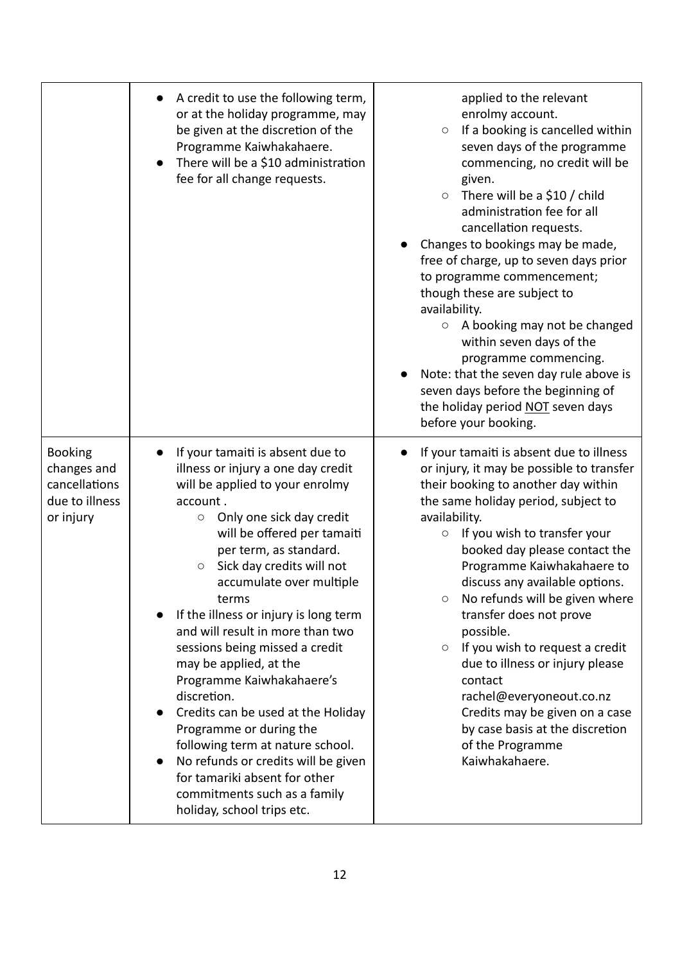|                                                                               | A credit to use the following term,<br>or at the holiday programme, may<br>be given at the discretion of the<br>Programme Kaiwhakahaere.<br>There will be a \$10 administration<br>fee for all change requests.                                                                                                                                                                                                                                                                                                                                                                                                                                                                                                                 | applied to the relevant<br>enrolmy account.<br>If a booking is cancelled within<br>$\circ$<br>seven days of the programme<br>commencing, no credit will be<br>given.<br>There will be a \$10 / child<br>$\bigcirc$<br>administration fee for all<br>cancellation requests.<br>Changes to bookings may be made,<br>free of charge, up to seven days prior<br>to programme commencement;<br>though these are subject to<br>availability.<br>A booking may not be changed<br>$\circ$<br>within seven days of the<br>programme commencing.<br>Note: that the seven day rule above is<br>seven days before the beginning of<br>the holiday period NOT seven days<br>before your booking. |
|-------------------------------------------------------------------------------|---------------------------------------------------------------------------------------------------------------------------------------------------------------------------------------------------------------------------------------------------------------------------------------------------------------------------------------------------------------------------------------------------------------------------------------------------------------------------------------------------------------------------------------------------------------------------------------------------------------------------------------------------------------------------------------------------------------------------------|-------------------------------------------------------------------------------------------------------------------------------------------------------------------------------------------------------------------------------------------------------------------------------------------------------------------------------------------------------------------------------------------------------------------------------------------------------------------------------------------------------------------------------------------------------------------------------------------------------------------------------------------------------------------------------------|
| <b>Booking</b><br>changes and<br>cancellations<br>due to illness<br>or injury | If your tamaiti is absent due to<br>illness or injury a one day credit<br>will be applied to your enrolmy<br>account.<br>Only one sick day credit<br>$\bigcirc$<br>will be offered per tamaiti<br>per term, as standard.<br>Sick day credits will not<br>О<br>accumulate over multiple<br>terms<br>If the illness or injury is long term<br>and will result in more than two<br>sessions being missed a credit<br>may be applied, at the<br>Programme Kaiwhakahaere's<br>discretion.<br>Credits can be used at the Holiday<br>Programme or during the<br>following term at nature school.<br>No refunds or credits will be given<br>for tamariki absent for other<br>commitments such as a family<br>holiday, school trips etc. | If your tamaiti is absent due to illness<br>or injury, it may be possible to transfer<br>their booking to another day within<br>the same holiday period, subject to<br>availability.<br>If you wish to transfer your<br>$\bigcirc$<br>booked day please contact the<br>Programme Kaiwhakahaere to<br>discuss any available options.<br>No refunds will be given where<br>O<br>transfer does not prove<br>possible.<br>If you wish to request a credit<br>$\bigcirc$<br>due to illness or injury please<br>contact<br>rachel@everyoneout.co.nz<br>Credits may be given on a case<br>by case basis at the discretion<br>of the Programme<br>Kaiwhakahaere.                            |